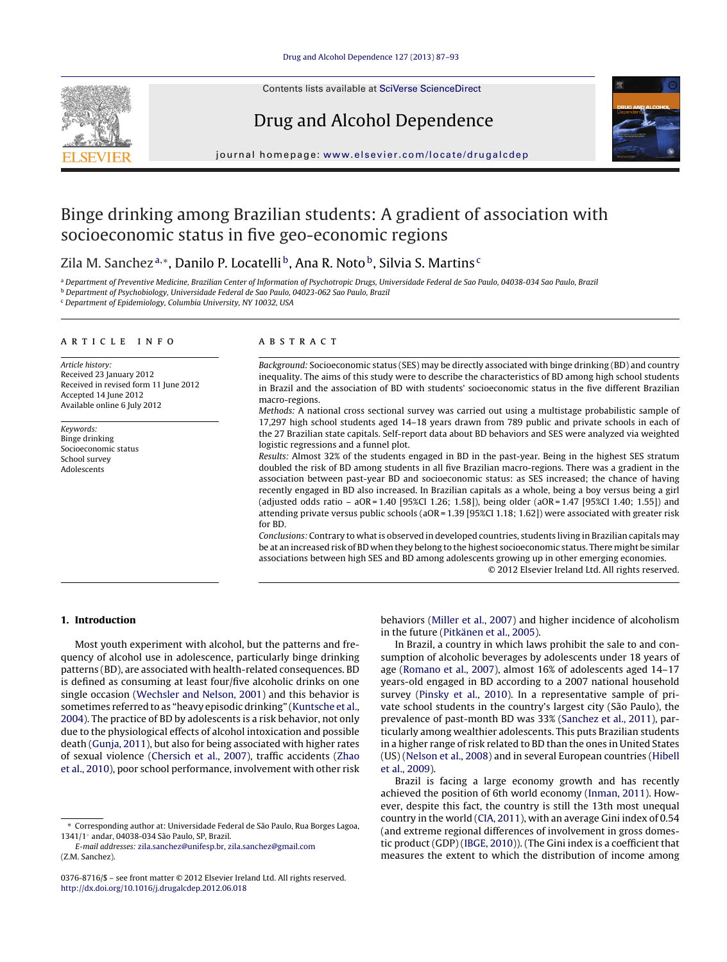Contents lists available at SciVerse [ScienceDirect](http://www.sciencedirect.com/science/journal/03768716)

# Drug and Alcohol Dependence



iournal homepage: [www.elsevier.com/locate/drugalcdep](http://www.elsevier.com/locate/drugalcdep)

# Binge drinking among Brazilian students: A gradient of association with socioeconomic status in five geo-economic regions

# Zila M. Sanchez<sup>a,\*</sup>, Danilo P. Locatelli<sup>b</sup>, Ana R. Noto<sup>b</sup>, Silvia S. Martins<sup>c</sup>

a Department of Preventive Medicine, Brazilian Center of Information of Psychotropic Drugs, Universidade Federal de Sao Paulo, 04038-034 Sao Paulo, Brazil

<sup>b</sup> Department of Psychobiology, Universidade Federal de Sao Paulo, 04023-062 Sao Paulo, Brazil

<sup>c</sup> Department of Epidemiology, Columbia University, NY 10032, USA

#### a r t i c l e i n f o

Article history: Received 23 January 2012 Received in revised form 11 June 2012 Accepted 14 June 2012 Available online 6 July 2012

Keywords: Binge drinking Socioeconomic status School survey Adolescents

# A B S T R A C T

Background: Socioeconomic status (SES) may be directly associated with binge drinking (BD) and country inequality. The aims of this study were to describe the characteristics of BD among high school students in Brazil and the association of BD with students' socioeconomic status in the five different Brazilian macro-regions.

Methods: A national cross sectional survey was carried out using a multistage probabilistic sample of 17,297 high school students aged 14–18 years drawn from 789 public and private schools in each of the 27 Brazilian state capitals. Self-report data about BD behaviors and SES were analyzed via weighted logistic regressions and a funnel plot.

Results: Almost 32% of the students engaged in BD in the past-year. Being in the highest SES stratum doubled the risk of BD among students in all five Brazilian macro-regions. There was a gradient in the association between past-year BD and socioeconomic status: as SES increased; the chance of having recently engaged in BD also increased. In Brazilian capitals as a whole, being a boy versus being a girl (adjusted odds ratio –  $aOR = 1.40$  [95%CI 1.26; 1.58]), being older  $(aOR = 1.47$  [95%CI 1.40; 1.55]) and attending private versus public schools (aOR = 1.39 [95%CI 1.18; 1.62]) were associated with greater risk for BD.

Conclusions: Contrary to what is observed in developed countries, students living in Brazilian capitals may be at an increased risk of BD when they belong to the highest socioeconomic status. There might be similar associations between high SES and BD among adolescents growing up in other emerging economies. © 2012 Elsevier Ireland Ltd. All rights reserved.

# **1. Introduction**

Most youth experiment with alcohol, but the patterns and frequency of alcohol use in adolescence, particularly binge drinking patterns (BD), are associated with health-related consequences. BD is defined as consuming at least four/five alcoholic drinks on one single occasion ([Wechsler](#page-6-0) [and](#page-6-0) [Nelson,](#page-6-0) [2001\)](#page-6-0) and this behavior is sometimes referred to as "heavy episodic drinking" ([Kuntsche](#page-6-0) et [al.,](#page-6-0) [2004\).](#page-6-0) The practice of BD by adolescents is a risk behavior, not only due to the physiological effects of alcohol intoxication and possible death [\(Gunja,](#page-6-0) [2011\),](#page-6-0) but also for being associated with higher rates of sexual violence [\(Chersich](#page-5-0) et [al.,](#page-5-0) [2007\),](#page-5-0) traffic accidents ([Zhao](#page-6-0) et [al.,](#page-6-0) [2010\),](#page-6-0) poor school performance, involvement with other risk behaviors [\(Miller](#page-6-0) et [al.,](#page-6-0) [2007\)](#page-6-0) and higher incidence of alcoholism in the future [\(Pitkänen](#page-6-0) et [al.,](#page-6-0) [2005\).](#page-6-0)

In Brazil, a country in which laws prohibit the sale to and consumption of alcoholic beverages by adolescents under 18 years of age [\(Romano](#page-6-0) et [al.,](#page-6-0) [2007\),](#page-6-0) almost 16% of adolescents aged 14–17 years-old engaged in BD according to a 2007 national household survey ([Pinsky](#page-6-0) et [al.,](#page-6-0) [2010\).](#page-6-0) In a representative sample of private school students in the country's largest city (São Paulo), the prevalence of past-month BD was 33% ([Sanchez](#page-6-0) et [al.,](#page-6-0) [2011\),](#page-6-0) particularly among wealthier adolescents. This puts Brazilian students in a higher range of risk related to BD than the ones in United States (US) ([Nelson](#page-6-0) et [al.,](#page-6-0) [2008\)](#page-6-0) and in several European countries ([Hibell](#page-6-0) et [al.,](#page-6-0) [2009\).](#page-6-0)

Brazil is facing a large economy growth and has recently achieved the position of 6th world economy [\(Inman,](#page-6-0) [2011\).](#page-6-0) However, despite this fact, the country is still the 13th most unequal country in the world [\(CIA,](#page-5-0) [2011\),](#page-5-0) with an average Gini index of 0.54 (and extreme regional differences of involvement in gross domestic product (GDP) ([IBGE,](#page-6-0) [2010\)\)](#page-6-0). (The Gini index is a coefficient that measures the extent to which the distribution of income among

<sup>∗</sup> Corresponding author at: Universidade Federal de São Paulo, Rua Borges Lagoa, 1341/1◦ andar, 04038-034 São Paulo, SP, Brazil.

E-mail addresses: [zila.sanchez@unifesp.br](mailto:zila.sanchez@unifesp.br), [zila.sanchez@gmail.com](mailto:zila.sanchez@gmail.com) (Z.M. Sanchez).

<sup>0376-8716/\$</sup> – see front matter © 2012 Elsevier Ireland Ltd. All rights reserved. [http://dx.doi.org/10.1016/j.drugalcdep.2012.06.018](dx.doi.org/10.1016/j.drugalcdep.2012.06.018)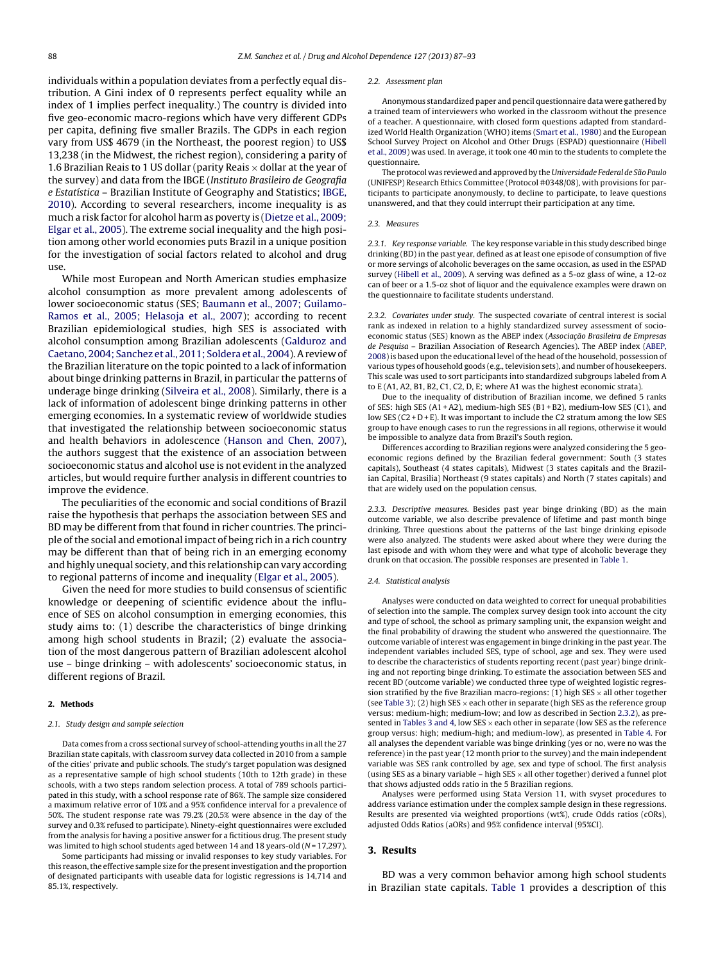<span id="page-1-0"></span>individuals within a population deviates from a perfectly equal distribution. A Gini index of 0 represents perfect equality while an index of 1 implies perfect inequality.) The country is divided into five geo-economic macro-regions which have very different GDPs per capita, defining five smaller Brazils. The GDPs in each region vary from US\$ 4679 (in the Northeast, the poorest region) to US\$ 13,238 (in the Midwest, the richest region), considering a parity of 1.6 Brazilian Reais to 1 US dollar (parity Reais  $\times$  dollar at the year of the survey) and data from the IBGE (Instituto Brasileiro de Geografia e Estatística – Brazilian Institute of Geography and Statistics; [IBGE,](#page-6-0) [2010\).](#page-6-0) According to several researchers, income inequality is as much a risk factor for alcohol harm as poverty is ([Dietze](#page-5-0) et [al.,](#page-5-0) [2009;](#page-5-0) [Elgar](#page-5-0) et [al.,](#page-5-0) [2005\).](#page-5-0) The extreme social inequality and the high position among other world economies puts Brazil in a unique position for the investigation of social factors related to alcohol and drug use.

While most European and North American studies emphasize alcohol consumption as more prevalent among adolescents of lower socioeconomic status (SES; [Baumann](#page-5-0) et [al.,](#page-5-0) [2007;](#page-5-0) [Guilamo-](#page-5-0)Ramos et [al.,](#page-5-0) [2005;](#page-5-0) [Helasoja](#page-5-0) et [al.,](#page-5-0) [2007\);](#page-5-0) according to recent Brazilian epidemiological studies, high SES is associated with alcohol consumption among Brazilian adolescents ([Galduroz](#page-6-0) [and](#page-6-0) [Caetano,](#page-6-0) [2004;](#page-6-0) [Sanchez](#page-6-0) et [al.,](#page-6-0) [2011;](#page-6-0) [Soldera](#page-6-0) et al., [2004\).](#page-6-0) A review of the Brazilian literature on the topic pointed to a lack of information about binge drinking patterns in Brazil, in particular the patterns of underage binge drinking ([Silveira](#page-6-0) et [al.,](#page-6-0) [2008\).](#page-6-0) Similarly, there is a lack of information of adolescent binge drinking patterns in other emerging economies. In a systematic review of worldwide studies that investigated the relationship between socioeconomic status and health behaviors in adolescence [\(Hanson](#page-6-0) [and](#page-6-0) [Chen,](#page-6-0) [2007\),](#page-6-0) the authors suggest that the existence of an association between socioeconomic status and alcohol use is not evident in the analyzed articles, but would require further analysis in different countries to improve the evidence.

The peculiarities of the economic and social conditions of Brazil raise the hypothesis that perhaps the association between SES and BD may be different from that found in richer countries. The principle ofthe social and emotional impact of being rich in a rich country may be different than that of being rich in an emerging economy and highly unequal society, and this relationship can vary according to regional patterns of income and inequality ([Elgar](#page-5-0) et [al.,](#page-5-0) [2005\).](#page-5-0)

Given the need for more studies to build consensus of scientific knowledge or deepening of scientific evidence about the influence of SES on alcohol consumption in emerging economies, this study aims to: (1) describe the characteristics of binge drinking among high school students in Brazil; (2) evaluate the association of the most dangerous pattern of Brazilian adolescent alcohol use – binge drinking – with adolescents' socioeconomic status, in different regions of Brazil.

#### **2. Methods**

#### 2.1. Study design and sample selection

Data comes from a cross sectional survey of school-attending youths in all the 27 Brazilian state capitals, with classroom survey data collected in 2010 from a sample of the cities' private and public schools. The study's target population was designed as a representative sample of high school students (10th to 12th grade) in these schools, with a two steps random selection process. A total of 789 schools participated in this study, with a school response rate of 86%. The sample size considered a maximum relative error of 10% and a 95% confidence interval for a prevalence of 50%. The student response rate was 79.2% (20.5% were absence in the day of the survey and 0.3% refused to participate). Ninety-eight questionnaires were excluded from the analysis for having a positive answer for a fictitious drug. The present study was limited to high school students aged between 14 and 18 years-old  $(N = 17.297)$ .

Some participants had missing or invalid responses to key study variables. For this reason, the effective sample size for the present investigation and the proportion of designated participants with useable data for logistic regressions is 14,714 and 85.1%, respectively.

#### 2.2. Assessment plan

Anonymous standardized paper and pencil questionnaire data were gathered by a trained team of interviewers who worked in the classroom without the presence of a teacher. A questionnaire, with closed form questions adapted from standardized World Health Organization (WHO) items [\(Smart](#page-6-0) et [al.,](#page-6-0) [1980\)](#page-6-0) and the European School Survey Project on Alcohol and Other Drugs (ESPAD) questionnaire ([Hibell](#page-6-0) et [al.,](#page-6-0) [2009\)](#page-6-0) was used. In average, it took one 40 min to the students to complete the questionnaire.

The protocol was reviewed and approved by the Universidade Federal de São Paulo (UNIFESP) Research Ethics Committee (Protocol #0348/08), with provisions for participants to participate anonymously, to decline to participate, to leave questions unanswered, and that they could interrupt their participation at any time.

#### 2.3. Measures

2.3.1. Key response variable. The key response variable in this study described binge drinking (BD) in the past year, defined as at least one episode of consumption of five or more servings of alcoholic beverages on the same occasion, as used in the ESPAD survey [\(Hibell](#page-6-0) et [al.,](#page-6-0) [2009\).](#page-6-0) A serving was defined as a 5-oz glass of wine, a 12-oz can of beer or a 1.5-oz shot of liquor and the equivalence examples were drawn on the questionnaire to facilitate students understand.

2.3.2. Covariates under study. The suspected covariate of central interest is social rank as indexed in relation to a highly standardized survey assessment of socioeconomic status (SES) known as the ABEP index (Associação Brasileira de Empresas de Pesquisa – Brazilian Association of Research Agencies). The ABEP index ([ABEP,](#page-5-0) 2008) is based upon the educational level of the head of the household, possession of various types of household goods (e.g., television sets), and number of housekeepers. This scale was used to sort participants into standardized subgroups labeled from A to E (A1, A2, B1, B2, C1, C2, D, E; where A1 was the highest economic strata).

Due to the inequality of distribution of Brazilian income, we defined 5 ranks of SES: high SES (A1 +A2), medium-high SES (B1 + B2), medium-low SES (C1), and low SES ( $C2 + D + E$ ). It was important to include the C2 stratum among the low SES group to have enough cases to run the regressions in all regions, otherwise it would be impossible to analyze data from Brazil's South region.

Differences according to Brazilian regions were analyzed considering the 5 geoeconomic regions defined by the Brazilian federal government: South (3 states capitals), Southeast (4 states capitals), Midwest (3 states capitals and the Brazilian Capital, Brasilia) Northeast (9 states capitals) and North (7 states capitals) and that are widely used on the population census.

2.3.3. Descriptive measures. Besides past year binge drinking (BD) as the main outcome variable, we also describe prevalence of lifetime and past month binge drinking. Three questions about the patterns of the last binge drinking episode were also analyzed. The students were asked about where they were during the last episode and with whom they were and what type of alcoholic beverage they drunk on that occasion. The possible responses are presented in [Table](#page-2-0) 1.

#### 2.4. Statistical analysis

Analyses were conducted on data weighted to correct for unequal probabilities of selection into the sample. The complex survey design took into account the city and type of school, the school as primary sampling unit, the expansion weight and the final probability of drawing the student who answered the questionnaire. The outcome variable of interest was engagement in binge drinking in the past year. The independent variables included SES, type of school, age and sex. They were used to describe the characteristics of students reporting recent (past year) binge drinking and not reporting binge drinking. To estimate the association between SES and recent BD (outcome variable) we conducted three type of weighted logistic regression stratified by the five Brazilian macro-regions: (1) high SES  $\times$  all other together (see [Table](#page-3-0) 3); (2) high SES  $\times$  each other in separate (high SES as the reference group versus: medium-high; medium-low; and low as described in Section 2.3.2), as pre-sented in [Tables](#page-3-0) 3 and 4, low SES  $\times$  each other in separate (low SES as the reference group versus: high; medium-high; and medium-low), as presented in [Table](#page-4-0) 4. For all analyses the dependent variable was binge drinking (yes or no, were no was the reference) in the past year (12 month prior to the survey) and the main independent variable was SES rank controlled by age, sex and type of school. The first analysis (using SES as a binary variable – high SES  $\times$  all other together) derived a funnel plot that shows adjusted odds ratio in the 5 Brazilian regions.

Analyses were performed using Stata Version 11, with svyset procedures to address variance estimation under the complex sample design in these regressions. Results are presented via weighted proportions (wt%), crude Odds ratios (cORs), adjusted Odds Ratios (aORs) and 95% confidence interval (95%CI).

### **3. Results**

BD was a very common behavior among high school students in Brazilian state capitals. [Table](#page-2-0) 1 provides a description of this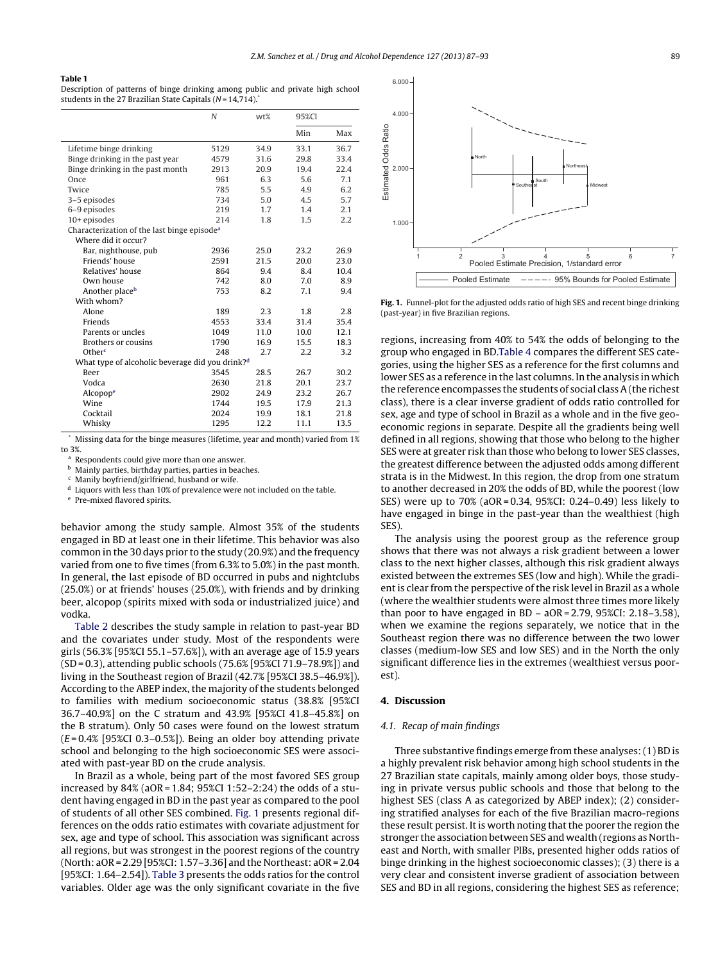#### <span id="page-2-0"></span>**Table 1**

Description of patterns of binge drinking among public and private high school students in the 27 Brazilian State Capitals ( $N = 14,714$ ).

|                                                                                | N    | wt%  | 95%CI |      |  |  |  |  |
|--------------------------------------------------------------------------------|------|------|-------|------|--|--|--|--|
|                                                                                |      |      | Min   | Max  |  |  |  |  |
| Lifetime binge drinking                                                        | 5129 | 34.9 | 33.1  | 36.7 |  |  |  |  |
| Binge drinking in the past year                                                | 4579 | 31.6 | 29.8  | 33.4 |  |  |  |  |
| Binge drinking in the past month                                               | 2913 | 20.9 | 19.4  | 22.4 |  |  |  |  |
| Once                                                                           | 961  | 6.3  | 5.6   | 7.1  |  |  |  |  |
| Twice                                                                          | 785  | 5.5  | 4.9   | 6.2  |  |  |  |  |
| 3-5 episodes                                                                   | 734  | 5.0  | 4.5   | 5.7  |  |  |  |  |
| 6-9 episodes                                                                   | 219  | 1.7  | 1.4   | 2.1  |  |  |  |  |
| $10+$ episodes                                                                 | 214  | 1.8  | 1.5   | 2.2  |  |  |  |  |
| Characterization of the last binge episode <sup>a</sup><br>Where did it occur? |      |      |       |      |  |  |  |  |
| Bar, nighthouse, pub                                                           | 2936 | 25.0 | 23.2  | 26.9 |  |  |  |  |
| Friends' house                                                                 | 2591 | 21.5 | 20.0  | 23.0 |  |  |  |  |
| Relatives' house                                                               | 864  | 9.4  | 8.4   | 10.4 |  |  |  |  |
| Own house                                                                      | 742  | 8.0  | 7.0   | 8.9  |  |  |  |  |
| Another place <sup>b</sup>                                                     | 753  | 8.2  | 7.1   | 9.4  |  |  |  |  |
| With whom?                                                                     |      |      |       |      |  |  |  |  |
| Alone                                                                          | 189  | 2.3  | 1.8   | 2.8  |  |  |  |  |
| Friends                                                                        | 4553 | 33.4 | 31.4  | 35.4 |  |  |  |  |
| Parents or uncles                                                              | 1049 | 11.0 | 10.0  | 12.1 |  |  |  |  |
| Brothers or cousins                                                            | 1790 | 16.9 | 15.5  | 18.3 |  |  |  |  |
| Other <sup>c</sup>                                                             | 248  | 2.7  | 2.2   | 3.2  |  |  |  |  |
| What type of alcoholic beverage did you drink? <sup>d</sup>                    |      |      |       |      |  |  |  |  |
| Beer                                                                           | 3545 | 28.5 | 26.7  | 30.2 |  |  |  |  |
| Vodca                                                                          | 2630 | 21.8 | 20.1  | 23.7 |  |  |  |  |
| Alcopope                                                                       | 2902 | 24.9 | 23.2  | 26.7 |  |  |  |  |
| Wine                                                                           | 1744 | 19.5 | 17.9  | 21.3 |  |  |  |  |
| Cocktail                                                                       | 2024 | 19.9 | 18.1  | 21.8 |  |  |  |  |
| Whisky                                                                         | 1295 | 12.2 | 11.1  | 13.5 |  |  |  |  |

Missing data for the binge measures (lifetime, year and month) varied from 1% to 3%.

<sup>a</sup> Respondents could give more than one answer.<br><sup>b</sup> Mainly parties birthday parties parties in base

Mainly parties, birthday parties, parties in beaches.

 $\frac{c}{d}$  Manily boyfriend/girlfriend, husband or wife.

Liquors with less than 10% of prevalence were not included on the table.

<sup>e</sup> Pre-mixed flavored spirits.

behavior among the study sample. Almost 35% of the students engaged in BD at least one in their lifetime. This behavior was also common in the 30 days prior to the study (20.9%) and the frequency varied from one to five times (from 6.3% to 5.0%) in the past month. In general, the last episode of BD occurred in pubs and nightclubs (25.0%) or at friends' houses (25.0%), with friends and by drinking beer, alcopop (spirits mixed with soda or industrialized juice) and vodka.

[Table](#page-3-0) 2 describes the study sample in relation to past-year BD and the covariates under study. Most of the respondents were girls (56.3% [95%CI 55.1–57.6%]), with an average age of 15.9 years (SD = 0.3), attending public schools (75.6% [95%CI 71.9–78.9%]) and living in the Southeast region of Brazil (42.7% [95%CI 38.5–46.9%]). According to the ABEP index, the majority of the students belonged to families with medium socioeconomic status (38.8% [95%CI 36.7–40.9%] on the C stratum and 43.9% [95%CI 41.8–45.8%] on the B stratum). Only 50 cases were found on the lowest stratum  $(E = 0.4\%$  [95%CI 0.3-0.5%]). Being an older boy attending private school and belonging to the high socioeconomic SES were associated with past-year BD on the crude analysis.

In Brazil as a whole, being part of the most favored SES group increased by  $84\%$  (aOR = 1.84; 95%CI 1:52–2:24) the odds of a student having engaged in BD in the past year as compared to the pool of students of all other SES combined. Fig. 1 presents regional differences on the odds ratio estimates with covariate adjustment for sex, age and type of school. This association was significant across all regions, but was strongest in the poorest regions of the country (North: aOR = 2.29 [95%CI: 1.57–3.36] and the Northeast: aOR = 2.04 [95%CI: 1.64–2.54]). [Table](#page-3-0) 3 presents the odds ratios for the control variables. Older age was the only significant covariate in the five



**Fig. 1.** Funnel-plot for the adjusted odds ratio of high SES and recent binge drinking (past-year) in five Brazilian regions.

regions, increasing from 40% to 54% the odds of belonging to the group who engaged in BD.[Table](#page-4-0) 4 compares the different SES categories, using the higher SES as a reference for the first columns and lower SES as a reference in the last columns. In the analysis in which the reference encompasses the students of social classA(the richest class), there is a clear inverse gradient of odds ratio controlled for sex, age and type of school in Brazil as a whole and in the five geoeconomic regions in separate. Despite all the gradients being well defined in all regions, showing that those who belong to the higher SES were at greater risk than those who belong to lower SES classes, the greatest difference between the adjusted odds among different strata is in the Midwest. In this region, the drop from one stratum to another decreased in 20% the odds of BD, while the poorest (low SES) were up to 70% (aOR = 0.34, 95%CI: 0.24–0.49) less likely to have engaged in binge in the past-year than the wealthiest (high SES).

The analysis using the poorest group as the reference group shows that there was not always a risk gradient between a lower class to the next higher classes, although this risk gradient always existed between the extremes SES (low and high). While the gradient is clear from the perspective of the risk level in Brazil as a whole (where the wealthier students were almost three times more likely than poor to have engaged in BD –  $aOR = 2.79$ , 95%CI: 2.18–3.58), when we examine the regions separately, we notice that in the Southeast region there was no difference between the two lower classes (medium-low SES and low SES) and in the North the only significant difference lies in the extremes (wealthiest versus poorest).

### **4. Discussion**

# 4.1. Recap of main findings

Three substantive findings emerge from these analyses:(1) BD is a highly prevalent risk behavior among high school students in the 27 Brazilian state capitals, mainly among older boys, those studying in private versus public schools and those that belong to the highest SES (class A as categorized by ABEP index); (2) considering stratified analyses for each of the five Brazilian macro-regions these result persist. It is worth noting that the poorer the region the stronger the association between SES and wealth (regions as Northeast and North, with smaller PIBs, presented higher odds ratios of binge drinking in the highest socioeconomic classes); (3) there is a very clear and consistent inverse gradient of association between SES and BD in all regions, considering the highest SES as reference;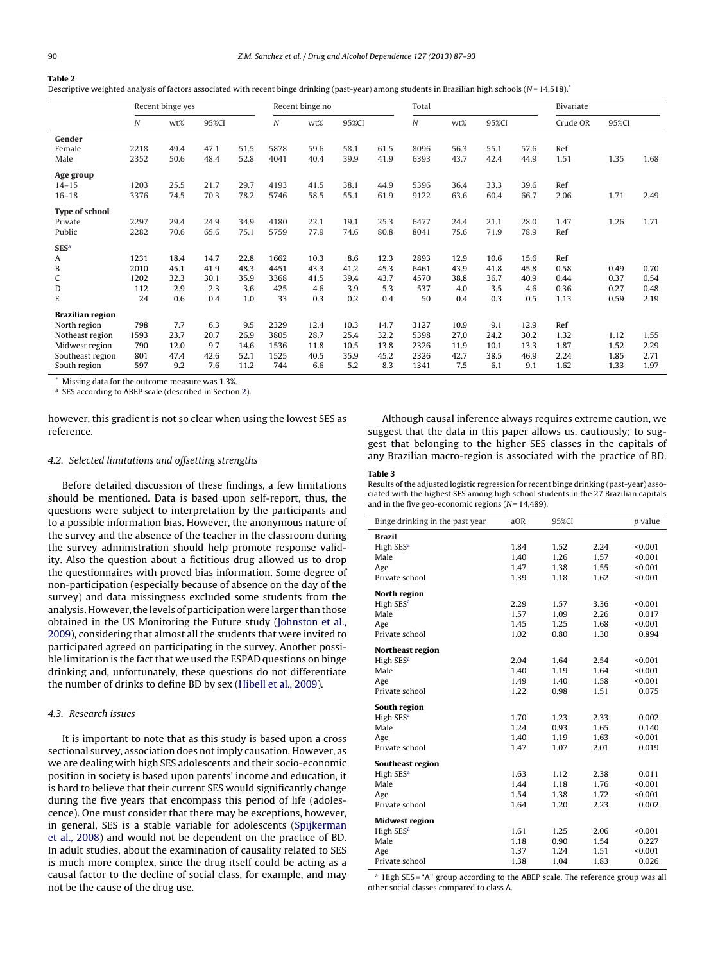<span id="page-3-0"></span>

| $\sim$ |  |
|--------|--|
|        |  |

Descriptive weighted analysis of factors associated with recent binge drinking (past-year) among students in Brazilian high schools (N = 14,518).<sup>\*</sup>

|                         | Recent binge yes |      |       | Recent binge no |      |      | Total |      |      |      | Bivariate |      |          |       |      |
|-------------------------|------------------|------|-------|-----------------|------|------|-------|------|------|------|-----------|------|----------|-------|------|
|                         | N                | wt%  | 95%CI |                 | N    | wt%  | 95%CI |      | N    | wt%  | 95%CI     |      | Crude OR | 95%CI |      |
| Gender<br>Female        | 2218             | 49.4 | 47.1  | 51.5            | 5878 | 59.6 | 58.1  | 61.5 | 8096 | 56.3 | 55.1      | 57.6 | Ref      |       |      |
| Male                    | 2352             | 50.6 | 48.4  | 52.8            | 4041 | 40.4 | 39.9  | 41.9 | 6393 | 43.7 | 42.4      | 44.9 | 1.51     | 1.35  | 1.68 |
| Age group               |                  |      |       |                 |      |      |       |      |      |      |           |      |          |       |      |
| $14 - 15$               | 1203             | 25.5 | 21.7  | 29.7            | 4193 | 41.5 | 38.1  | 44.9 | 5396 | 36.4 | 33.3      | 39.6 | Ref      |       |      |
| $16 - 18$               | 3376             | 74.5 | 70.3  | 78.2            | 5746 | 58.5 | 55.1  | 61.9 | 9122 | 63.6 | 60.4      | 66.7 | 2.06     | 1.71  | 2.49 |
| <b>Type of school</b>   |                  |      |       |                 |      |      |       |      |      |      |           |      |          |       |      |
| Private                 | 2297             | 29.4 | 24.9  | 34.9            | 4180 | 22.1 | 19.1  | 25.3 | 6477 | 24.4 | 21.1      | 28.0 | 1.47     | 1.26  | 1.71 |
| Public                  | 2282             | 70.6 | 65.6  | 75.1            | 5759 | 77.9 | 74.6  | 80.8 | 8041 | 75.6 | 71.9      | 78.9 | Ref      |       |      |
| <b>SES</b> <sup>a</sup> |                  |      |       |                 |      |      |       |      |      |      |           |      |          |       |      |
| A                       | 1231             | 18.4 | 14.7  | 22.8            | 1662 | 10.3 | 8.6   | 12.3 | 2893 | 12.9 | 10.6      | 15.6 | Ref      |       |      |
| B                       | 2010             | 45.1 | 41.9  | 48.3            | 4451 | 43.3 | 41.2  | 45.3 | 6461 | 43.9 | 41.8      | 45.8 | 0.58     | 0.49  | 0.70 |
| C                       | 1202             | 32.3 | 30.1  | 35.9            | 3368 | 41.5 | 39.4  | 43.7 | 4570 | 38.8 | 36.7      | 40.9 | 0.44     | 0.37  | 0.54 |
| D                       | 112              | 2.9  | 2.3   | 3.6             | 425  | 4.6  | 3.9   | 5.3  | 537  | 4.0  | 3.5       | 4.6  | 0.36     | 0.27  | 0.48 |
| E                       | 24               | 0.6  | 0.4   | 1.0             | 33   | 0.3  | 0.2   | 0.4  | 50   | 0.4  | 0.3       | 0.5  | 1.13     | 0.59  | 2.19 |
| <b>Brazilian region</b> |                  |      |       |                 |      |      |       |      |      |      |           |      |          |       |      |
| North region            | 798              | 7.7  | 6.3   | 9.5             | 2329 | 12.4 | 10.3  | 14.7 | 3127 | 10.9 | 9.1       | 12.9 | Ref      |       |      |
| Notheast region         | 1593             | 23.7 | 20.7  | 26.9            | 3805 | 28.7 | 25.4  | 32.2 | 5398 | 27.0 | 24.2      | 30.2 | 1.32     | 1.12  | 1.55 |
| Midwest region          | 790              | 12.0 | 9.7   | 14.6            | 1536 | 11.8 | 10.5  | 13.8 | 2326 | 11.9 | 10.1      | 13.3 | 1.87     | 1.52  | 2.29 |
| Southeast region        | 801              | 47.4 | 42.6  | 52.1            | 1525 | 40.5 | 35.9  | 45.2 | 2326 | 42.7 | 38.5      | 46.9 | 2.24     | 1.85  | 2.71 |
| South region            | 597              | 9.2  | 7.6   | 11.2            | 744  | 6.6  | 5.2   | 8.3  | 1341 | 7.5  | 6.1       | 9.1  | 1.62     | 1.33  | 1.97 |

Missing data for the outcome measure was 1.3%.

<sup>a</sup> SES according to ABEP scale (described in Section [2\).](#page-1-0)

however, this gradient is not so clear when using the lowest SES as reference.

#### 4.2. Selected limitations and offsetting strengths

Before detailed discussion of these findings, a few limitations should be mentioned. Data is based upon self-report, thus, the questions were subject to interpretation by the participants and to a possible information bias. However, the anonymous nature of the survey and the absence of the teacher in the classroom during the survey administration should help promote response validity. Also the question about a fictitious drug allowed us to drop the questionnaires with proved bias information. Some degree of non-participation (especially because of absence on the day of the survey) and data missingness excluded some students from the analysis. However, the levels of participation were larger than those obtained in the US Monitoring the Future study [\(Johnston](#page-6-0) et [al.,](#page-6-0) [2009\),](#page-6-0) considering that almost all the students that were invited to participated agreed on participating in the survey. Another possible limitation is the fact that we used the ESPAD questions on binge drinking and, unfortunately, these questions do not differentiate the number of drinks to define BD by sex ([Hibell](#page-6-0) et [al.,](#page-6-0) [2009\).](#page-6-0)

# 4.3. Research issues

It is important to note that as this study is based upon a cross sectional survey, association does not imply causation. However, as we are dealing with high SES adolescents and their socio-economic position in society is based upon parents' income and education, it is hard to believe that their current SES would significantly change during the five years that encompass this period of life (adolescence). One must consider that there may be exceptions, however, in general, SES is a stable variable for adolescents ([Spijkerman](#page-6-0) et [al.,](#page-6-0) [2008\)](#page-6-0) and would not be dependent on the practice of BD. In adult studies, about the examination of causality related to SES is much more complex, since the drug itself could be acting as a causal factor to the decline of social class, for example, and may not be the cause of the drug use.

Although causal inference always requires extreme caution, we suggest that the data in this paper allows us, cautiously; to suggest that belonging to the higher SES classes in the capitals of any Brazilian macro-region is associated with the practice of BD.

#### **Table 3**

Results of the adjusted logistic regression for recent binge drinking (past-year) associated with the highest SES among high school students in the 27 Brazilian capitals and in the five geo-economic regions  $(N = 14,489)$ .

| Binge drinking in the past year | aOR  | 95%CI |      | <i>p</i> value |
|---------------------------------|------|-------|------|----------------|
| <b>Brazil</b>                   |      |       |      |                |
| High SES <sup>a</sup>           | 1.84 | 1.52  | 2.24 | < 0.001        |
| Male                            | 1.40 | 1.26  | 1.57 | < 0.001        |
| Age                             | 1.47 | 1.38  | 1.55 | < 0.001        |
| Private school                  | 1.39 | 1.18  | 1.62 | < 0.001        |
| North region                    |      |       |      |                |
| High SES <sup>a</sup>           | 2.29 | 1.57  | 3.36 | < 0.001        |
| Male                            | 1.57 | 1.09  | 2.26 | 0.017          |
| Age                             | 1.45 | 1.25  | 1.68 | < 0.001        |
| Private school                  | 1.02 | 0.80  | 1.30 | 0.894          |
| Northeast region                |      |       |      |                |
| High SES <sup>a</sup>           | 2.04 | 1.64  | 2.54 | < 0.001        |
| Male                            | 1.40 | 1.19  | 1.64 | < 0.001        |
| Age                             | 1.49 | 1.40  | 1.58 | < 0.001        |
| Private school                  | 1.22 | 0.98  | 1.51 | 0.075          |
| South region                    |      |       |      |                |
| High SES <sup>a</sup>           | 1.70 | 1.23  | 2.33 | 0.002          |
| Male                            | 1.24 | 0.93  | 1.65 | 0.140          |
| Age                             | 1.40 | 1.19  | 1.63 | < 0.001        |
| Private school                  | 1.47 | 1.07  | 2.01 | 0.019          |
| Southeast region                |      |       |      |                |
| High SES <sup>a</sup>           | 1.63 | 1.12  | 2.38 | 0.011          |
| Male                            | 1.44 | 1.18  | 1.76 | < 0.001        |
| Age                             | 1.54 | 1.38  | 1.72 | < 0.001        |
| Private school                  | 1.64 | 1.20  | 2.23 | 0.002          |
| <b>Midwest region</b>           |      |       |      |                |
| High SES <sup>a</sup>           | 1.61 | 1.25  | 2.06 | < 0.001        |
| Male                            | 1.18 | 0.90  | 1.54 | 0.227          |
| Age                             | 1.37 | 1.24  | 1.51 | < 0.001        |
| Private school                  | 1.38 | 1.04  | 1.83 | 0.026          |

<sup>a</sup> High SES = "A" group according to the ABEP scale. The reference group was all other social classes compared to class A.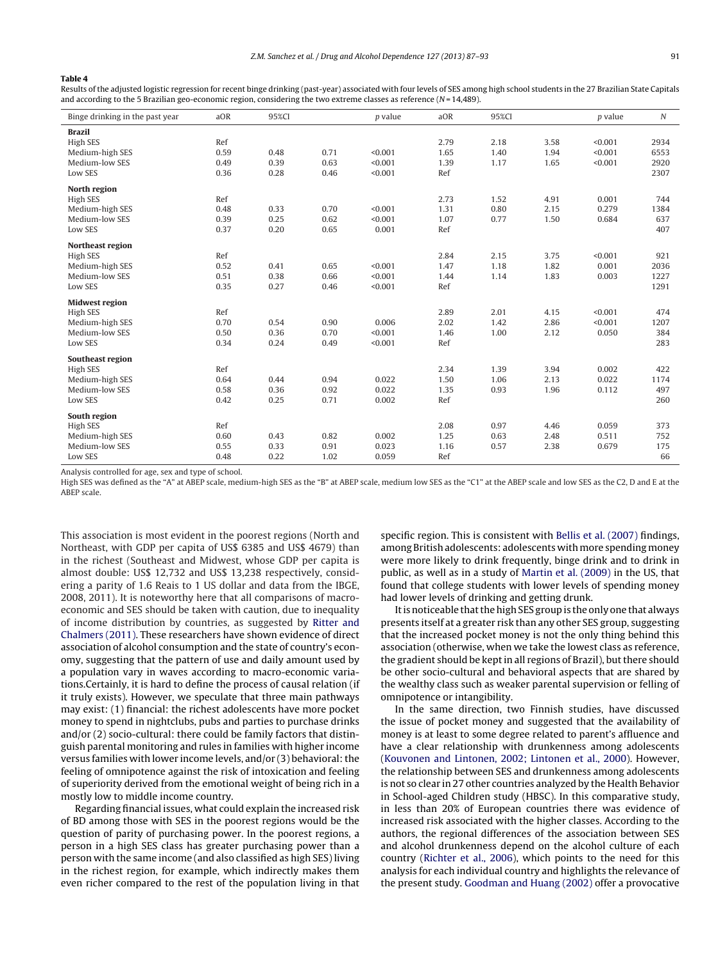#### <span id="page-4-0"></span>**Table 4**

Results of the adjusted logistic regression for recent binge drinking (past-year) associated with four levels of SES among high school students in the 27 Brazilian State Capitals and according to the 5 Brazilian geo-economic region, considering the two extreme classes as reference ( $N = 14,489$ ).

| Binge drinking in the past year | aOR  | 95%CI |      | p value | aOR  | 95%CI |      | <i>p</i> value | N    |
|---------------------------------|------|-------|------|---------|------|-------|------|----------------|------|
| <b>Brazil</b>                   |      |       |      |         |      |       |      |                |      |
| High SES                        | Ref  |       |      |         | 2.79 | 2.18  | 3.58 | < 0.001        | 2934 |
| Medium-high SES                 | 0.59 | 0.48  | 0.71 | < 0.001 | 1.65 | 1.40  | 1.94 | < 0.001        | 6553 |
| Medium-low SES                  | 0.49 | 0.39  | 0.63 | < 0.001 | 1.39 | 1.17  | 1.65 | < 0.001        | 2920 |
| Low SES                         | 0.36 | 0.28  | 0.46 | < 0.001 | Ref  |       |      |                | 2307 |
| North region                    |      |       |      |         |      |       |      |                |      |
| High SES                        | Ref  |       |      |         | 2.73 | 1.52  | 4.91 | 0.001          | 744  |
| Medium-high SES                 | 0.48 | 0.33  | 0.70 | < 0.001 | 1.31 | 0.80  | 2.15 | 0.279          | 1384 |
| Medium-low SES                  | 0.39 | 0.25  | 0.62 | < 0.001 | 1.07 | 0.77  | 1.50 | 0.684          | 637  |
| Low SES                         | 0.37 | 0.20  | 0.65 | 0.001   | Ref  |       |      |                | 407  |
| Northeast region                |      |       |      |         |      |       |      |                |      |
| High SES                        | Ref  |       |      |         | 2.84 | 2.15  | 3.75 | < 0.001        | 921  |
| Medium-high SES                 | 0.52 | 0.41  | 0.65 | < 0.001 | 1.47 | 1.18  | 1.82 | 0.001          | 2036 |
| Medium-low SES                  | 0.51 | 0.38  | 0.66 | < 0.001 | 1.44 | 1.14  | 1.83 | 0.003          | 1227 |
| Low SES                         | 0.35 | 0.27  | 0.46 | < 0.001 | Ref  |       |      |                | 1291 |
| <b>Midwest region</b>           |      |       |      |         |      |       |      |                |      |
| High SES                        | Ref  |       |      |         | 2.89 | 2.01  | 4.15 | < 0.001        | 474  |
| Medium-high SES                 | 0.70 | 0.54  | 0.90 | 0.006   | 2.02 | 1.42  | 2.86 | < 0.001        | 1207 |
| Medium-low SES                  | 0.50 | 0.36  | 0.70 | < 0.001 | 1.46 | 1.00  | 2.12 | 0.050          | 384  |
| Low SES                         | 0.34 | 0.24  | 0.49 | < 0.001 | Ref  |       |      |                | 283  |
| Southeast region                |      |       |      |         |      |       |      |                |      |
| High SES                        | Ref  |       |      |         | 2.34 | 1.39  | 3.94 | 0.002          | 422  |
| Medium-high SES                 | 0.64 | 0.44  | 0.94 | 0.022   | 1.50 | 1.06  | 2.13 | 0.022          | 1174 |
| Medium-low SES                  | 0.58 | 0.36  | 0.92 | 0.022   | 1.35 | 0.93  | 1.96 | 0.112          | 497  |
| Low SES                         | 0.42 | 0.25  | 0.71 | 0.002   | Ref  |       |      |                | 260  |
| South region                    |      |       |      |         |      |       |      |                |      |
| High SES                        | Ref  |       |      |         | 2.08 | 0.97  | 4.46 | 0.059          | 373  |
| Medium-high SES                 | 0.60 | 0.43  | 0.82 | 0.002   | 1.25 | 0.63  | 2.48 | 0.511          | 752  |
| Medium-low SES                  | 0.55 | 0.33  | 0.91 | 0.023   | 1.16 | 0.57  | 2.38 | 0.679          | 175  |
| Low SES                         | 0.48 | 0.22  | 1.02 | 0.059   | Ref  |       |      |                | 66   |

Analysis controlled for age, sex and type of school.

High SES was defined as the "A" at ABEP scale, medium-high SES as the "B" at ABEP scale, medium low SES as the "C1" at the ABEP scale and low SES as the C2, D and E at the ABEP scale.

This association is most evident in the poorest regions (North and Northeast, with GDP per capita of US\$ 6385 and US\$ 4679) than in the richest (Southeast and Midwest, whose GDP per capita is almost double: US\$ 12,732 and US\$ 13,238 respectively, considering a parity of 1.6 Reais to 1 US dollar and data from the IBGE, 2008, 2011). It is noteworthy here that all comparisons of macroeconomic and SES should be taken with caution, due to inequality of income distribution by countries, as suggested by [Ritter](#page-6-0) [and](#page-6-0) [Chalmers](#page-6-0) [\(2011\).](#page-6-0) These researchers have shown evidence of direct association of alcohol consumption and the state of country's economy, suggesting that the pattern of use and daily amount used by a population vary in waves according to macro-economic variations.Certainly, it is hard to define the process of causal relation (if it truly exists). However, we speculate that three main pathways may exist: (1) financial: the richest adolescents have more pocket money to spend in nightclubs, pubs and parties to purchase drinks and/or (2) socio-cultural: there could be family factors that distinguish parental monitoring and rules in families with higher income versus families with lower income levels, and/or  $(3)$  behavioral: the feeling of omnipotence against the risk of intoxication and feeling of superiority derived from the emotional weight of being rich in a mostly low to middle income country.

Regarding financial issues, what could explain the increased risk of BD among those with SES in the poorest regions would be the question of parity of purchasing power. In the poorest regions, a person in a high SES class has greater purchasing power than a person with the same income (and also classified as high SES) living in the richest region, for example, which indirectly makes them even richer compared to the rest of the population living in that specific region. This is consistent with [Bellis](#page-5-0) et [al.](#page-5-0) [\(2007\)](#page-5-0) findings, among British adolescents: adolescents with more spending money were more likely to drink frequently, binge drink and to drink in public, as well as in a study of [Martin](#page-6-0) et [al.](#page-6-0) [\(2009\)](#page-6-0) in the US, that found that college students with lower levels of spending money had lower levels of drinking and getting drunk.

It is noticeable that the high SES group is the only one that always presents itself at a greater risk than any other SES group, suggesting that the increased pocket money is not the only thing behind this association (otherwise, when we take the lowest class as reference, the gradient should be kept in all regions of Brazil), but there should be other socio-cultural and behavioral aspects that are shared by the wealthy class such as weaker parental supervision or felling of omnipotence or intangibility.

In the same direction, two Finnish studies, have discussed the issue of pocket money and suggested that the availability of money is at least to some degree related to parent's affluence and have a clear relationship with drunkenness among adolescents [\(Kouvonen](#page-6-0) [and](#page-6-0) [Lintonen,](#page-6-0) [2002;](#page-6-0) [Lintonen](#page-6-0) et [al.,](#page-6-0) [2000\).](#page-6-0) However, the relationship between SES and drunkenness among adolescents is not so clear in 27 other countries analyzed by the Health Behavior in School-aged Children study (HBSC). In this comparative study, in less than 20% of European countries there was evidence of increased risk associated with the higher classes. According to the authors, the regional differences of the association between SES and alcohol drunkenness depend on the alcohol culture of each country [\(Richter](#page-6-0) et [al.,](#page-6-0) [2006\),](#page-6-0) which points to the need for this analysis for each individual country and highlights the relevance of the present study. [Goodman](#page-6-0) [and](#page-6-0) [Huang](#page-6-0) [\(2002\)](#page-6-0) offer a provocative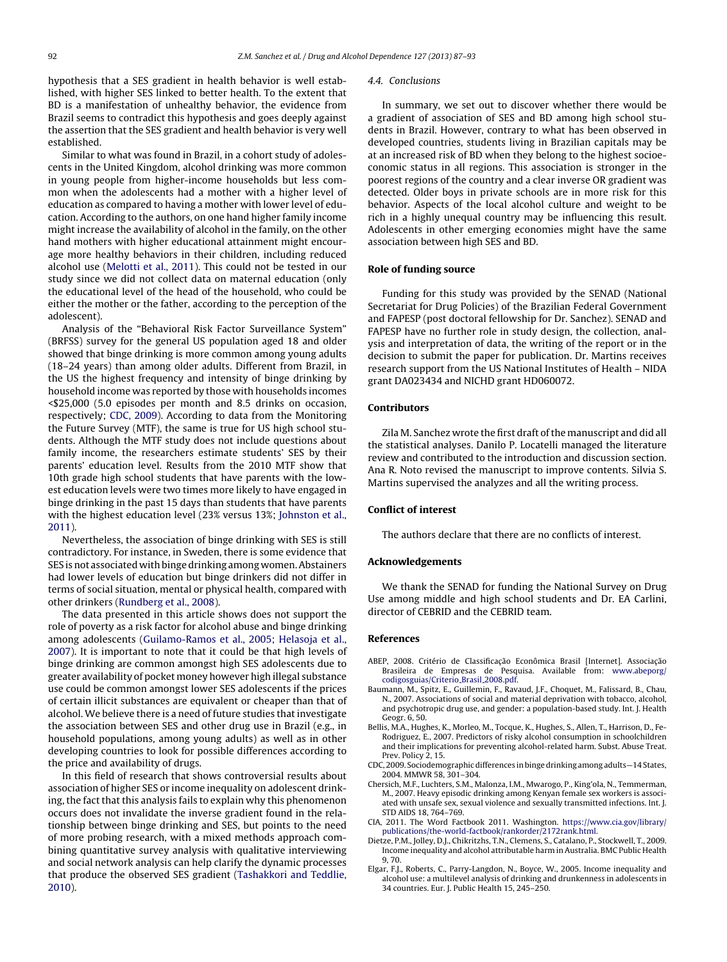<span id="page-5-0"></span>hypothesis that a SES gradient in health behavior is well established, with higher SES linked to better health. To the extent that BD is a manifestation of unhealthy behavior, the evidence from Brazil seems to contradict this hypothesis and goes deeply against the assertion that the SES gradient and health behavior is very well established.

Similar to what was found in Brazil, in a cohort study of adolescents in the United Kingdom, alcohol drinking was more common in young people from higher-income households but less common when the adolescents had a mother with a higher level of education as compared to having a mother with lower level of education. According to the authors, on one hand higher family income might increase the availability of alcohol in the family, on the other hand mothers with higher educational attainment might encourage more healthy behaviors in their children, including reduced alcohol use [\(Melotti](#page-6-0) et [al.,](#page-6-0) [2011\).](#page-6-0) This could not be tested in our study since we did not collect data on maternal education (only the educational level of the head of the household, who could be either the mother or the father, according to the perception of the adolescent).

Analysis of the "Behavioral Risk Factor Surveillance System" (BRFSS) survey for the general US population aged 18 and older showed that binge drinking is more common among young adults (18–24 years) than among older adults. Different from Brazil, in the US the highest frequency and intensity of binge drinking by household income was reported by those with households incomes <\$25,000 (5.0 episodes per month and 8.5 drinks on occasion, respectively; CDC, 2009). According to data from the Monitoring the Future Survey (MTF), the same is true for US high school students. Although the MTF study does not include questions about family income, the researchers estimate students' SES by their parents' education level. Results from the 2010 MTF show that 10th grade high school students that have parents with the lowest education levels were two times more likely to have engaged in binge drinking in the past 15 days than students that have parents with the highest education level (23% versus 13%; [Johnston](#page-6-0) et [al.,](#page-6-0) [2011\).](#page-6-0)

Nevertheless, the association of binge drinking with SES is still contradictory. For instance, in Sweden, there is some evidence that SES is not associated with binge drinking among women. Abstainers had lower levels of education but binge drinkers did not differ in terms of social situation, mental or physical health, compared with other drinkers ([Rundberg](#page-6-0) et [al.,](#page-6-0) [2008\).](#page-6-0)

The data presented in this article shows does not support the role of poverty as a risk factor for alcohol abuse and binge drinking among adolescents [\(Guilamo-Ramos](#page-6-0) et [al.,](#page-6-0) [2005;](#page-6-0) [Helasoja](#page-6-0) et [al.,](#page-6-0) [2007\).](#page-6-0) It is important to note that it could be that high levels of binge drinking are common amongst high SES adolescents due to greater availability of pocket money however high illegal substance use could be common amongst lower SES adolescents if the prices of certain illicit substances are equivalent or cheaper than that of alcohol. We believe there is a need of future studies that investigate the association between SES and other drug use in Brazil (e.g., in household populations, among young adults) as well as in other developing countries to look for possible differences according to the price and availability of drugs.

In this field of research that shows controversial results about association of higher SES or income inequality on adolescent drinking, the fact that this analysis fails to explain why this phenomenon occurs does not invalidate the inverse gradient found in the relationship between binge drinking and SES, but points to the need of more probing research, with a mixed methods approach combining quantitative survey analysis with qualitative interviewing and social network analysis can help clarify the dynamic processes that produce the observed SES gradient ([Tashakkori](#page-6-0) [and](#page-6-0) [Teddlie,](#page-6-0) [2010\).](#page-6-0)

#### 44 Conclusions

In summary, we set out to discover whether there would be a gradient of association of SES and BD among high school students in Brazil. However, contrary to what has been observed in developed countries, students living in Brazilian capitals may be at an increased risk of BD when they belong to the highest socioeconomic status in all regions. This association is stronger in the poorest regions of the country and a clear inverse OR gradient was detected. Older boys in private schools are in more risk for this behavior. Aspects of the local alcohol culture and weight to be rich in a highly unequal country may be influencing this result. Adolescents in other emerging economies might have the same association between high SES and BD.

#### **Role of funding source**

Funding for this study was provided by the SENAD (National Secretariat for Drug Policies) of the Brazilian Federal Government and FAPESP (post doctoral fellowship for Dr. Sanchez). SENAD and FAPESP have no further role in study design, the collection, analysis and interpretation of data, the writing of the report or in the decision to submit the paper for publication. Dr. Martins receives research support from the US National Institutes of Health – NIDA grant DA023434 and NICHD grant HD060072.

#### **Contributors**

Zila M. Sanchez wrote the first draft of the manuscript and did all the statistical analyses. Danilo P. Locatelli managed the literature review and contributed to the introduction and discussion section. Ana R. Noto revised the manuscript to improve contents. Silvia S. Martins supervised the analyzes and all the writing process.

# **Conflict of interest**

The authors declare that there are no conflicts of interest.

# **Acknowledgements**

We thank the SENAD for funding the National Survey on Drug Use among middle and high school students and Dr. EA Carlini, director of CEBRID and the CEBRID team.

### **References**

- ABEP, 2008. Critério de Classificação Econômica Brasil [Internet]. Associação Brasileira de Empresas de Pesquisa. Available from: [www.abeporg/](http://www.abeporg/codigosguias/Criterio_Brasil_2008.pdf) [codigosguias/Criterio](http://www.abeporg/codigosguias/Criterio_Brasil_2008.pdf) Brasil 2008.pdf.
- Baumann, M., Spitz, E., Guillemin, F., Ravaud, J.F., Choquet, M., Falissard, B., Chau, N., 2007. Associations of social and material deprivation with tobacco, alcohol, and psychotropic drug use, and gender: a population-based study. Int. J. Health Geogr. 6, 50.
- Bellis, M.A., Hughes, K., Morleo, M., Tocque, K., Hughes, S., Allen, T., Harrison, D., Fe-Rodriguez, E., 2007. Predictors of risky alcohol consumption in schoolchildren and their implications for preventing alcohol-related harm. Subst. Abuse Treat. Prev. Policy 2, 15.
- CDC, 2009. Sociodemographicdifferences inbingedrinking among adults—14 States, 2004. MMWR 58, 301–304.
- Chersich, M.F., Luchters, S.M., Malonza, I.M., Mwarogo, P., King'ola, N., Temmerman, M., 2007. Heavy episodic drinking among Kenyan female sex workers is associated with unsafe sex, sexual violence and sexually transmitted infections. Int. J. STD AIDS 18, 764–769.
- CIA, 2011. The Word Factbook 2011. Washington. [https://www.cia.gov/library/](https://www.cia.gov/library/publications/the-world-factbook/rankorder/2172rank.html) [publications/the-world-factbook/rankorder/2172rank.html.](https://www.cia.gov/library/publications/the-world-factbook/rankorder/2172rank.html)
- Dietze, P.M., Jolley, D.J., Chikritzhs, T.N., Clemens, S., Catalano, P., Stockwell, T., 2009. Income inequality and alcohol attributable harm in Australia. BMC Public Health 9, 70.
- Elgar, F.J., Roberts, C., Parry-Langdon, N., Boyce, W., 2005. Income inequality and alcohol use: a multilevel analysis of drinking and drunkenness in adolescents in 34 countries. Eur. J. Public Health 15, 245–250.